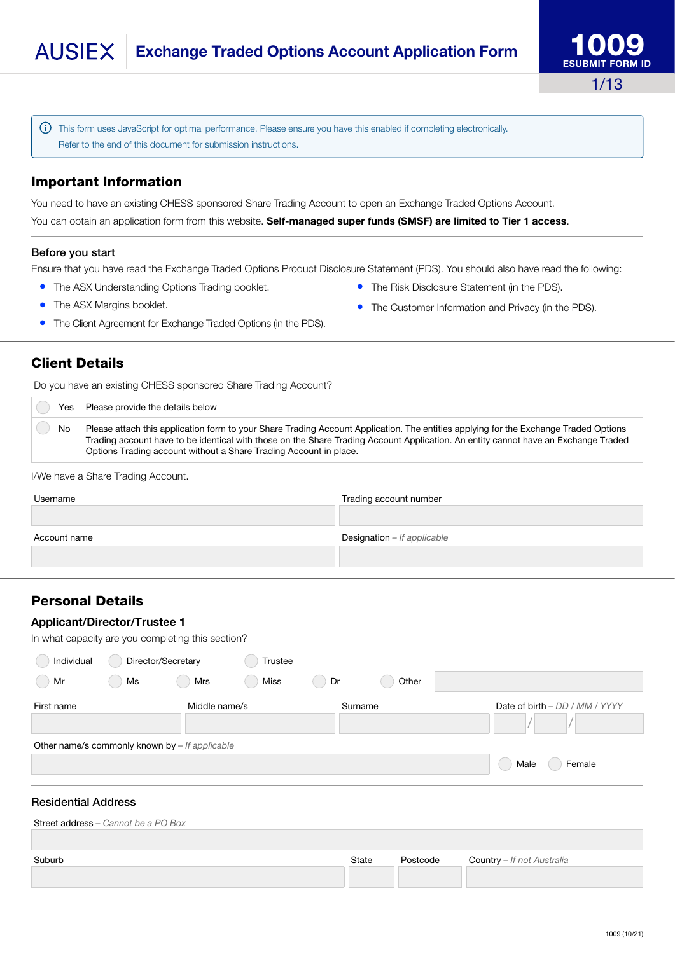Refer to the end of this document for submission instructions.

# Important Information

• The ASX Margins booklet.

You need to have an existing CHESS sponsored Share Trading Account to open an Exchange Traded Options Account. You can obtain an application form from this website. Self-managed super funds (SMSF) are limited to Tier 1 access.

## Before you start

Ensure that you have read the Exchange Traded Options Product Disclosure Statement (PDS). You should also have read the following:

- The ASX Understanding Options Trading booklet.
- The Customer Information and Privacy (in the PDS).

Client Details

Do you have an existing CHESS sponsored Share Trading Account?

• The Client Agreement for Exchange Traded Options (in the PDS).

| Yes | Please provide the details below                                                                                                                                                                                                                                                                                                                |
|-----|-------------------------------------------------------------------------------------------------------------------------------------------------------------------------------------------------------------------------------------------------------------------------------------------------------------------------------------------------|
| No  | Please attach this application form to your Share Trading Account Application. The entities applying for the Exchange Traded Options<br>Trading account have to be identical with those on the Share Trading Account Application. An entity cannot have an Exchange Traded<br>Options Trading account without a Share Trading Account in place. |

#### I/We have a Share Trading Account.

| Username     | Trading account number      |
|--------------|-----------------------------|
| Account name | Designation - If applicable |

# <span id="page-0-0"></span>Personal Details

## Applicant/Director/Trustee 1

In what capacity are you completing this section?

| Individual<br>Director/Secretary               |    |                | Trustee |         |       |                                |
|------------------------------------------------|----|----------------|---------|---------|-------|--------------------------------|
| Mr<br>L.                                       | Ms | Mrs            | Miss    | Dr      | Other |                                |
| First name                                     |    | Middle name/s  |         | Surname |       | Date of birth – DD / MM / YYYY |
|                                                |    |                |         |         |       |                                |
| Other name/s commonly known by - If applicable |    |                |         |         |       |                                |
|                                                |    | Female<br>Male |         |         |       |                                |
|                                                |    |                |         |         |       |                                |

## Residential Address

| State | Postcode | <b>Country</b> - If not Australia |
|-------|----------|-----------------------------------|
|       |          |                                   |
|       |          |                                   |



- The Risk Disclosure Statement (in the PDS).
- 

This form uses JavaScript for optimal performance. Please ensure you have this enabled if completing electronically.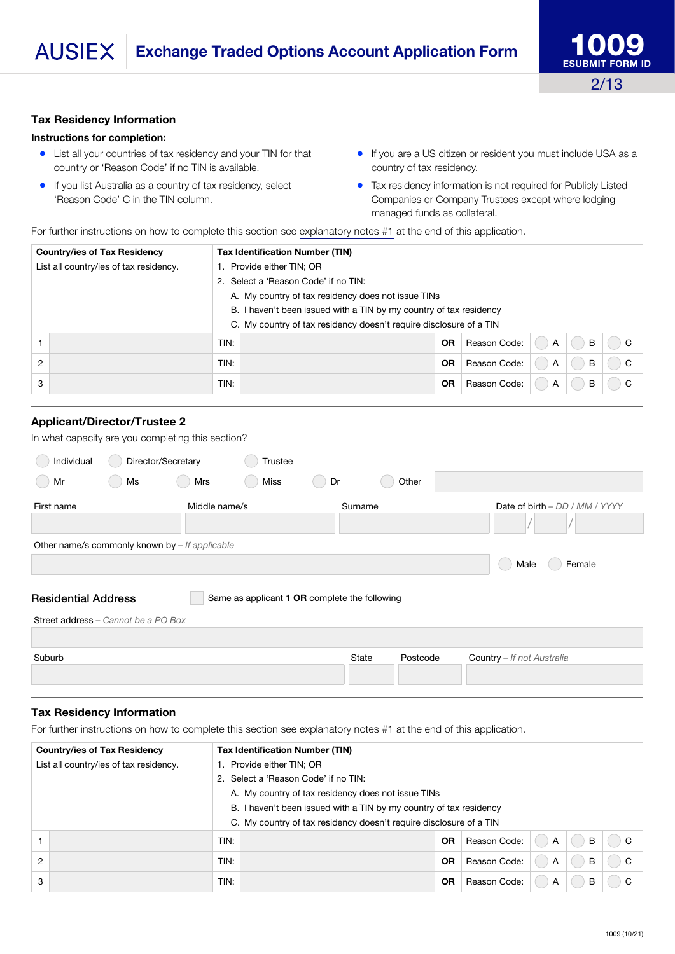#### Tax Residency Information

### Instructions for completion:

- List all your countries of tax residency and your TIN for that country or 'Reason Code' if no TIN is available.
- If you list Australia as a country of tax residency, select 'Reason Code' C in the TIN column.
- If you are a US citizen or resident you must include USA as a country of tax residency.
- Tax residency information is not required for Publicly Listed Companies or Company Trustees except where lodging managed funds as collateral.

For further instructions on how to complete this section see [explanatory notes #1](#page-12-0) at the end of this application.

| <b>Country/ies of Tax Residency</b>    | <b>Tax Identification Number (TIN)</b>                             |           |              |   |   |   |  |  |
|----------------------------------------|--------------------------------------------------------------------|-----------|--------------|---|---|---|--|--|
| List all country/ies of tax residency. | Provide either TIN; OR<br>1.                                       |           |              |   |   |   |  |  |
|                                        | Select a 'Reason Code' if no TIN:<br>2.                            |           |              |   |   |   |  |  |
|                                        | A. My country of tax residency does not issue TINs                 |           |              |   |   |   |  |  |
|                                        | B. I haven't been issued with a TIN by my country of tax residency |           |              |   |   |   |  |  |
|                                        | C. My country of tax residency doesn't require disclosure of a TIN |           |              |   |   |   |  |  |
|                                        | TIN:                                                               | OR        | Reason Code: | A | B | C |  |  |
| $\overline{2}$                         | TIN:                                                               | <b>OR</b> | Reason Code: | A | B | C |  |  |
| 3                                      | Reason Code:<br>TIN:<br><b>OR</b><br>в<br>A                        |           |              |   |   |   |  |  |

### Applicant/Director/Trustee 2

In what capacity are you completing this section?

| Individual<br>Mr<br>$\left($                     | Director/Secretary<br>Ms                                                    | Mrs           | Trustee<br>Miss | Dr      |       | Other    |                                |  |  |  |
|--------------------------------------------------|-----------------------------------------------------------------------------|---------------|-----------------|---------|-------|----------|--------------------------------|--|--|--|
| First name                                       |                                                                             | Middle name/s |                 | Surname |       |          | Date of birth - DD / MM / YYYY |  |  |  |
| Other name/s commonly known by $-$ If applicable |                                                                             |               |                 |         |       |          |                                |  |  |  |
|                                                  |                                                                             |               |                 |         |       |          | Male<br>Female                 |  |  |  |
|                                                  | <b>Residential Address</b><br>Same as applicant 1 OR complete the following |               |                 |         |       |          |                                |  |  |  |
|                                                  | Street address - Cannot be a PO Box                                         |               |                 |         |       |          |                                |  |  |  |
| Suburb                                           |                                                                             |               |                 |         | State | Postcode | Country - If not Australia     |  |  |  |
|                                                  |                                                                             |               |                 |         |       |          |                                |  |  |  |

#### Tax Residency Information

For further instructions on how to complete this section see [explanatory notes #1](#page-12-0) at the end of this application.

| <b>Country/ies of Tax Residency</b><br><b>Tax Identification Number (TIN)</b> |                                        |                                                    |                                                                    |           |              |                |   |        |
|-------------------------------------------------------------------------------|----------------------------------------|----------------------------------------------------|--------------------------------------------------------------------|-----------|--------------|----------------|---|--------|
|                                                                               | List all country/ies of tax residency. |                                                    | 1. Provide either TIN; OR                                          |           |              |                |   |        |
|                                                                               |                                        | 2. Select a 'Reason Code' if no TIN:               |                                                                    |           |              |                |   |        |
|                                                                               |                                        | A. My country of tax residency does not issue TINs |                                                                    |           |              |                |   |        |
|                                                                               |                                        |                                                    | B. I haven't been issued with a TIN by my country of tax residency |           |              |                |   |        |
|                                                                               |                                        |                                                    | C. My country of tax residency doesn't require disclosure of a TIN |           |              |                |   |        |
|                                                                               |                                        | TIN:                                               |                                                                    | <b>OR</b> | Reason Code: | $\overline{A}$ | B | $()$ C |
| 2                                                                             |                                        | TIN:                                               |                                                                    | <b>OR</b> | Reason Code: | $\overline{A}$ | B | $()$ C |
| 3                                                                             |                                        | TIN:                                               |                                                                    | OR        | Reason Code: | A              | в | C      |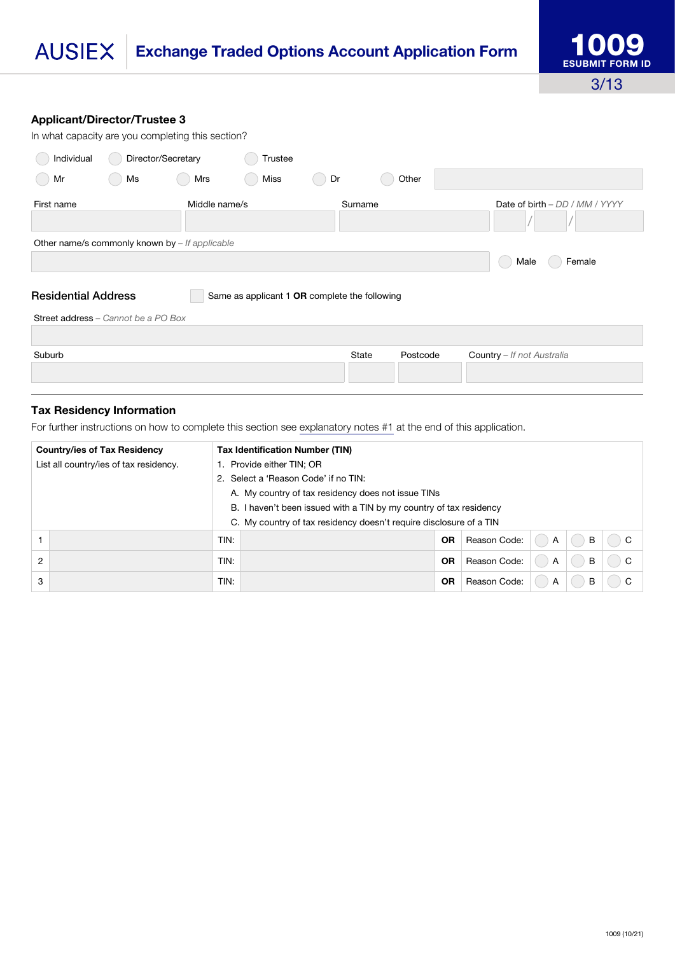### **AUSIEX Exchange Traded Options Account Application Form**

#### Applicant/Director/Trustee 3

| In what capacity are you completing this section? |                                                                                                                    |               |         |    |              |          |                                |  |  |  |
|---------------------------------------------------|--------------------------------------------------------------------------------------------------------------------|---------------|---------|----|--------------|----------|--------------------------------|--|--|--|
| Individual                                        | Director/Secretary                                                                                                 |               | Trustee |    |              |          |                                |  |  |  |
| Mr                                                | Ms                                                                                                                 | Mrs           | Miss    | Dr |              |          |                                |  |  |  |
| First name                                        |                                                                                                                    | Middle name/s |         |    | Surname      |          | Date of birth - DD / MM / YYYY |  |  |  |
| Other name/s commonly known by $-$ If applicable  |                                                                                                                    |               |         |    |              |          |                                |  |  |  |
|                                                   |                                                                                                                    |               |         |    |              |          | Female<br>Male                 |  |  |  |
|                                                   | <b>Residential Address</b><br>Same as applicant 1 OR complete the following<br>Street address - Cannot be a PO Box |               |         |    |              |          |                                |  |  |  |
|                                                   |                                                                                                                    |               |         |    |              |          |                                |  |  |  |
| Suburb                                            |                                                                                                                    |               |         |    | <b>State</b> | Postcode | Country - If not Australia     |  |  |  |

#### Tax Residency Information

For further instructions on how to complete this section see [explanatory notes #1](#page-12-0) at the end of this application.

|                | <b>Country/ies of Tax Residency</b>                                | <b>Tax Identification Number (TIN)</b>                             |                                      |           |              |   |   |                    |  |  |
|----------------|--------------------------------------------------------------------|--------------------------------------------------------------------|--------------------------------------|-----------|--------------|---|---|--------------------|--|--|
|                | List all country/ies of tax residency.                             | 1. Provide either TIN; OR                                          |                                      |           |              |   |   |                    |  |  |
|                |                                                                    |                                                                    | 2. Select a 'Reason Code' if no TIN: |           |              |   |   |                    |  |  |
|                |                                                                    | A. My country of tax residency does not issue TINs                 |                                      |           |              |   |   |                    |  |  |
|                | B. I haven't been issued with a TIN by my country of tax residency |                                                                    |                                      |           |              |   |   |                    |  |  |
|                |                                                                    | C. My country of tax residency doesn't require disclosure of a TIN |                                      |           |              |   |   |                    |  |  |
|                |                                                                    | TIN:                                                               |                                      | <b>OR</b> | Reason Code: | A | B | $($ ) $\mathbf{C}$ |  |  |
| $\overline{2}$ |                                                                    | TIN:                                                               |                                      | <b>OR</b> | Reason Code: | A | B | $($ ) $\mathbf{C}$ |  |  |
| 3              |                                                                    | TIN:                                                               |                                      | <b>OR</b> | Reason Code: | A | В |                    |  |  |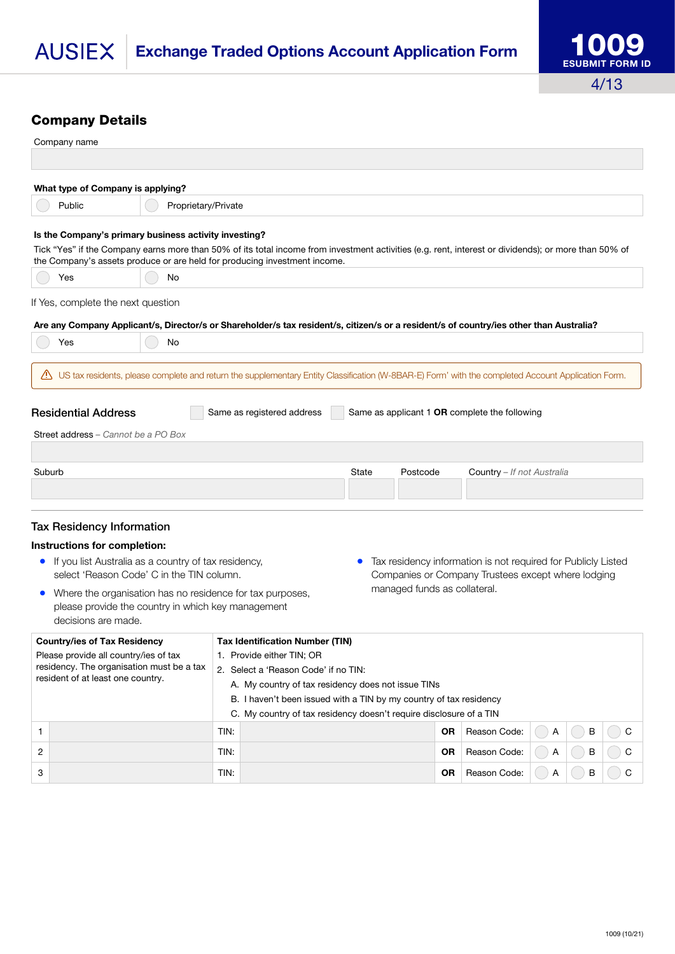# <span id="page-3-0"></span>Company Details

| Company name                                                                                                                                                                                                                      |                                                                                                   |      |                                                                                            |       |                              |                                                                                                                     |   |   |   |  |
|-----------------------------------------------------------------------------------------------------------------------------------------------------------------------------------------------------------------------------------|---------------------------------------------------------------------------------------------------|------|--------------------------------------------------------------------------------------------|-------|------------------------------|---------------------------------------------------------------------------------------------------------------------|---|---|---|--|
|                                                                                                                                                                                                                                   |                                                                                                   |      |                                                                                            |       |                              |                                                                                                                     |   |   |   |  |
| What type of Company is applying?                                                                                                                                                                                                 |                                                                                                   |      |                                                                                            |       |                              |                                                                                                                     |   |   |   |  |
| Public                                                                                                                                                                                                                            | Proprietary/Private                                                                               |      |                                                                                            |       |                              |                                                                                                                     |   |   |   |  |
| Is the Company's primary business activity investing?                                                                                                                                                                             |                                                                                                   |      |                                                                                            |       |                              |                                                                                                                     |   |   |   |  |
| Tick "Yes" if the Company earns more than 50% of its total income from investment activities (e.g. rent, interest or dividends); or more than 50% of<br>the Company's assets produce or are held for producing investment income. |                                                                                                   |      |                                                                                            |       |                              |                                                                                                                     |   |   |   |  |
| Yes                                                                                                                                                                                                                               | No                                                                                                |      |                                                                                            |       |                              |                                                                                                                     |   |   |   |  |
| If Yes, complete the next question                                                                                                                                                                                                |                                                                                                   |      |                                                                                            |       |                              |                                                                                                                     |   |   |   |  |
| Are any Company Applicant/s, Director/s or Shareholder/s tax resident/s, citizen/s or a resident/s of country/ies other than Australia?                                                                                           |                                                                                                   |      |                                                                                            |       |                              |                                                                                                                     |   |   |   |  |
| Yes                                                                                                                                                                                                                               | No                                                                                                |      |                                                                                            |       |                              |                                                                                                                     |   |   |   |  |
| US tax residents, please complete and return the supplementary Entity Classification (W-8BAR-E) Form' with the completed Account Application Form.                                                                                |                                                                                                   |      |                                                                                            |       |                              |                                                                                                                     |   |   |   |  |
|                                                                                                                                                                                                                                   |                                                                                                   |      |                                                                                            |       |                              |                                                                                                                     |   |   |   |  |
| <b>Residential Address</b>                                                                                                                                                                                                        |                                                                                                   |      | Same as registered address                                                                 |       |                              | Same as applicant 1 OR complete the following                                                                       |   |   |   |  |
| Street address - Cannot be a PO Box                                                                                                                                                                                               |                                                                                                   |      |                                                                                            |       |                              |                                                                                                                     |   |   |   |  |
|                                                                                                                                                                                                                                   |                                                                                                   |      |                                                                                            |       |                              |                                                                                                                     |   |   |   |  |
| Suburb                                                                                                                                                                                                                            |                                                                                                   |      |                                                                                            | State | Postcode                     | Country - If not Australia                                                                                          |   |   |   |  |
|                                                                                                                                                                                                                                   |                                                                                                   |      |                                                                                            |       |                              |                                                                                                                     |   |   |   |  |
|                                                                                                                                                                                                                                   |                                                                                                   |      |                                                                                            |       |                              |                                                                                                                     |   |   |   |  |
| <b>Tax Residency Information</b>                                                                                                                                                                                                  |                                                                                                   |      |                                                                                            |       |                              |                                                                                                                     |   |   |   |  |
| Instructions for completion:                                                                                                                                                                                                      |                                                                                                   |      |                                                                                            |       |                              |                                                                                                                     |   |   |   |  |
| $\bullet$                                                                                                                                                                                                                         | If you list Australia as a country of tax residency,<br>select 'Reason Code' C in the TIN column. |      |                                                                                            |       |                              | Tax residency information is not required for Publicly Listed<br>Companies or Company Trustees except where lodging |   |   |   |  |
| $\bullet$                                                                                                                                                                                                                         | Where the organisation has no residence for tax purposes,                                         |      |                                                                                            |       | managed funds as collateral. |                                                                                                                     |   |   |   |  |
|                                                                                                                                                                                                                                   | please provide the country in which key management                                                |      |                                                                                            |       |                              |                                                                                                                     |   |   |   |  |
| decisions are made.                                                                                                                                                                                                               |                                                                                                   |      |                                                                                            |       |                              |                                                                                                                     |   |   |   |  |
| <b>Country/ies of Tax Residency</b>                                                                                                                                                                                               |                                                                                                   |      | <b>Tax Identification Number (TIN)</b>                                                     |       |                              |                                                                                                                     |   |   |   |  |
| Please provide all country/ies of tax<br>residency. The organisation must be a tax                                                                                                                                                |                                                                                                   |      | 1. Provide either TIN; OR                                                                  |       |                              |                                                                                                                     |   |   |   |  |
| resident of at least one country.                                                                                                                                                                                                 |                                                                                                   |      | 2. Select a 'Reason Code' if no TIN:<br>A. My country of tax residency does not issue TINs |       |                              |                                                                                                                     |   |   |   |  |
|                                                                                                                                                                                                                                   |                                                                                                   |      | B. I haven't been issued with a TIN by my country of tax residency                         |       |                              |                                                                                                                     |   |   |   |  |
|                                                                                                                                                                                                                                   |                                                                                                   |      | C. My country of tax residency doesn't require disclosure of a TIN                         |       |                              |                                                                                                                     |   |   |   |  |
| 1.                                                                                                                                                                                                                                |                                                                                                   | TIN: |                                                                                            |       | 0R                           | Reason Code:                                                                                                        | A | B | C |  |
| 2                                                                                                                                                                                                                                 |                                                                                                   | TIN: |                                                                                            |       | 0R                           | Reason Code:                                                                                                        | A | В | С |  |
| 3                                                                                                                                                                                                                                 |                                                                                                   | TIN: |                                                                                            |       | <b>OR</b>                    | Reason Code:                                                                                                        | Α | B | С |  |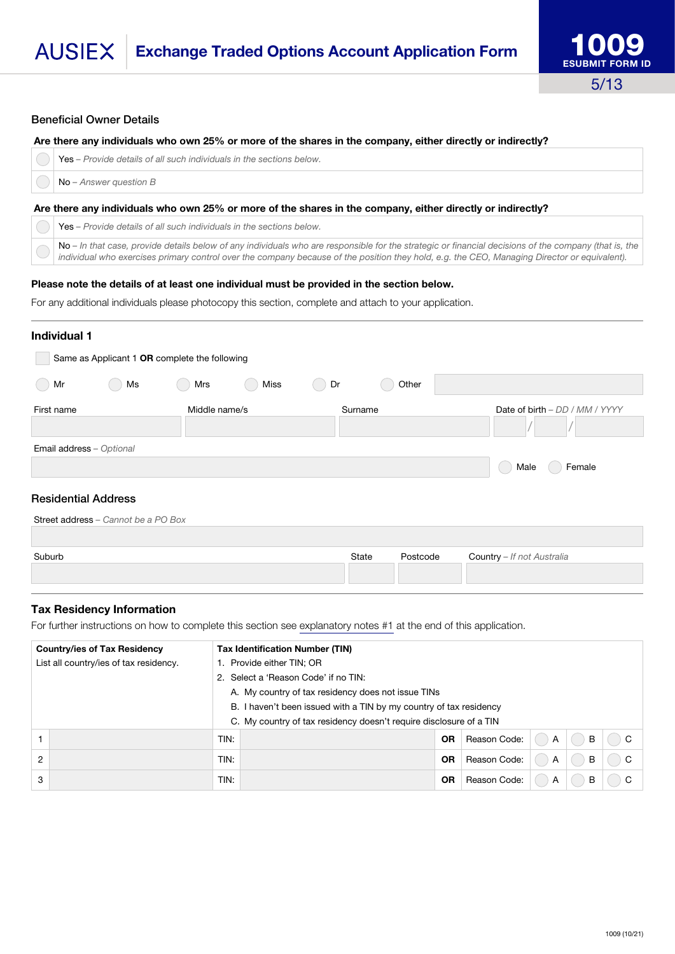#### Beneficial Owner Details

#### Are there any individuals who own 25% or more of the shares in the company, either directly or indirectly?

|  |  |  | $\mathbb{R}$   Yes – Provide details of all such individuals in the sections below. |  |
|--|--|--|-------------------------------------------------------------------------------------|--|
|  |  |  |                                                                                     |  |

No *– Answer question B*

O

#### Are there any individuals who own 25% or more of the shares in the company, either directly or indirectly?

Yes *– Provide details of all such individuals in the sections below.*

No - In that case, provide details below of any individuals who are responsible for the strategic or financial decisions of the company (that is, the *individual who exercises primary control over the company because of the position they hold, e.g. the CEO, Managing Director or equivalent).*

#### Please note the details of at least one individual must be provided in the section below.

For any additional individuals please photocopy this section, complete and attach to your application.

| <b>Individual 1</b>                           |    |     |                          |                       |       |                                |                |  |  |  |  |
|-----------------------------------------------|----|-----|--------------------------|-----------------------|-------|--------------------------------|----------------|--|--|--|--|
| Same as Applicant 1 OR complete the following |    |     |                          |                       |       |                                |                |  |  |  |  |
| Mr<br>$\left($                                | Ms | Mrs | <b>Miss</b>              | Dr<br>$\qquad \qquad$ | Other |                                |                |  |  |  |  |
| First name                                    |    |     | Middle name/s<br>Surname |                       |       | Date of birth - DD / MM / YYYY |                |  |  |  |  |
| Email address - Optional                      |    |     |                          |                       |       |                                |                |  |  |  |  |
|                                               |    |     |                          |                       |       |                                | Male<br>Female |  |  |  |  |
| <b>Residential Address</b>                    |    |     |                          |                       |       |                                |                |  |  |  |  |

| Street address - Cannot be a PO Box |       |          |                                   |
|-------------------------------------|-------|----------|-----------------------------------|
| Suburb                              | State | Postcode | <b>Country</b> - If not Australia |
|                                     |       |          |                                   |
|                                     |       |          |                                   |

#### Tax Residency Information

For further instructions on how to complete this section see explanatory notes #1 at the end of this application.

| <b>Country/ies of Tax Residency</b>                                | <b>Tax Identification Number (TIN)</b>                             |           |              |                |   |        |
|--------------------------------------------------------------------|--------------------------------------------------------------------|-----------|--------------|----------------|---|--------|
| List all country/ies of tax residency.                             | 1. Provide either TIN; OR                                          |           |              |                |   |        |
|                                                                    | 2. Select a 'Reason Code' if no TIN:                               |           |              |                |   |        |
|                                                                    | A. My country of tax residency does not issue TINs                 |           |              |                |   |        |
| B. I haven't been issued with a TIN by my country of tax residency |                                                                    |           |              |                |   |        |
|                                                                    | C. My country of tax residency doesn't require disclosure of a TIN |           |              |                |   |        |
|                                                                    | TIN:                                                               | <b>OR</b> | Reason Code: | $\overline{A}$ | B | $()$ C |
| 2                                                                  | TIN:                                                               | <b>OR</b> | Reason Code: | A              | B | $()$ C |
| 3                                                                  | TIN:                                                               | <b>OR</b> | Reason Code: | A              | B | C      |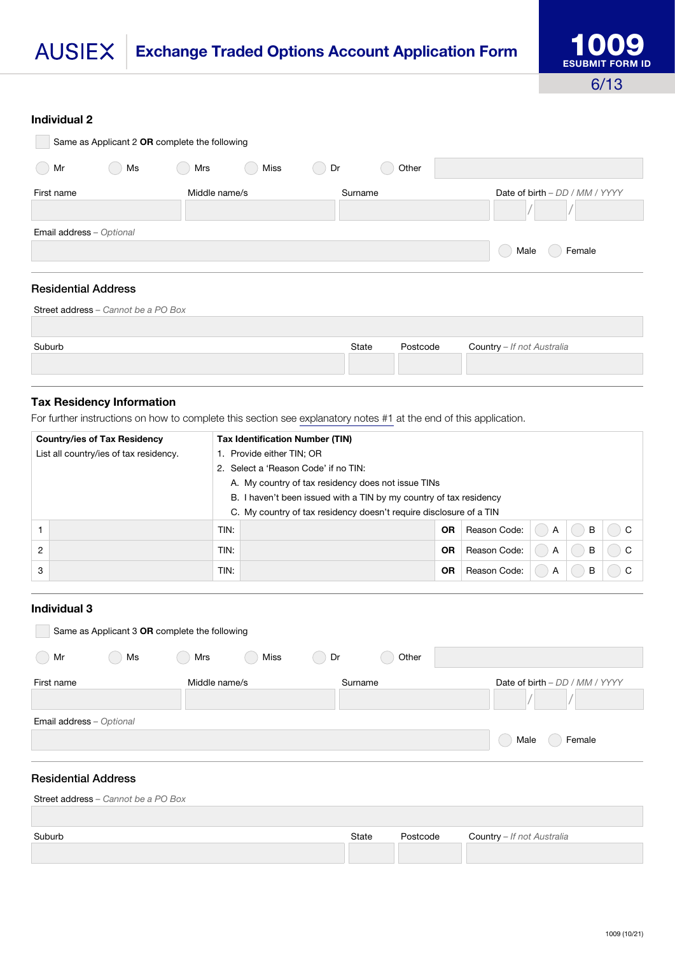## Exchange Traded Options Account Application Form **AUSIEX**

#### Individual 2

| Same as Applicant 2 OR complete the following |                                     |               |      |                     |       |                                |  |  |  |
|-----------------------------------------------|-------------------------------------|---------------|------|---------------------|-------|--------------------------------|--|--|--|
| $(\phantom{-})$<br>Mr                         | Ms                                  | Mrs           | Miss | Dr<br>$\rightarrow$ | Other |                                |  |  |  |
| First name                                    |                                     | Middle name/s |      | Surname             |       | Date of birth - DD / MM / YYYY |  |  |  |
| Email address - Optional                      |                                     |               |      |                     |       | Male<br>Female                 |  |  |  |
| <b>Residential Address</b>                    |                                     |               |      |                     |       |                                |  |  |  |
|                                               | Street address - Cannot be a PO Box |               |      |                     |       |                                |  |  |  |

| Suburb | State | Postcode | <b>Country</b> - If not Australia |
|--------|-------|----------|-----------------------------------|
|        |       |          |                                   |

## Tax Residency Information

For further instructions on how to complete this section see explanatory notes #1 at the end of this application.

| <b>Country/ies of Tax Residency</b>    | <b>Tax Identification Number (TIN)</b>                             |           |              |   |   |                           |
|----------------------------------------|--------------------------------------------------------------------|-----------|--------------|---|---|---------------------------|
| List all country/ies of tax residency. | 1. Provide either TIN; OR                                          |           |              |   |   |                           |
|                                        | 2. Select a 'Reason Code' if no TIN:                               |           |              |   |   |                           |
|                                        | A. My country of tax residency does not issue TINs                 |           |              |   |   |                           |
|                                        | B. I haven't been issued with a TIN by my country of tax residency |           |              |   |   |                           |
|                                        | C. My country of tax residency doesn't require disclosure of a TIN |           |              |   |   |                           |
|                                        | TIN:                                                               | <b>OR</b> | Reason Code: | A | B | C<br>$(\quad)$            |
| $\overline{2}$                         | TIN:                                                               | OR        | Reason Code: | A | B | C<br>$\qquad \qquad \Box$ |
| 3                                      | TIN:                                                               | <b>OR</b> | Reason Code: | A | B | С                         |

#### Individual 3

| Same as Applicant 3 OR complete the following |                                     |               |      |                     |       |                                |  |  |  |
|-----------------------------------------------|-------------------------------------|---------------|------|---------------------|-------|--------------------------------|--|--|--|
| Mr<br>$\left($                                | Ms                                  | Mrs           | Miss | Dr<br>$\rightarrow$ | Other |                                |  |  |  |
| First name                                    |                                     | Middle name/s |      | Surname             |       | Date of birth - DD / MM / YYYY |  |  |  |
| Email address - Optional                      |                                     |               |      |                     |       | Female<br>Male                 |  |  |  |
| <b>Residential Address</b>                    |                                     |               |      |                     |       |                                |  |  |  |
|                                               | Street address - Cannot be a PO Box |               |      |                     |       |                                |  |  |  |

| Suburb | State | Postcode | <b>Country</b> - If not Australia |
|--------|-------|----------|-----------------------------------|
|        |       |          |                                   |
|        |       |          |                                   |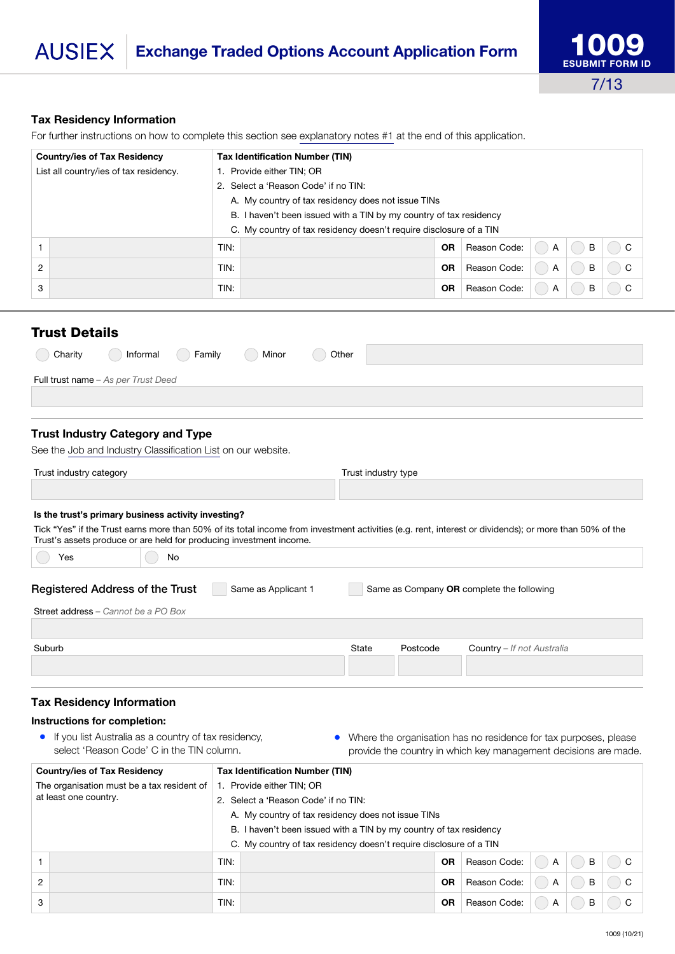## Tax Residency Information

For further instructions on how to complete this section see explanatory notes #1 at the end of this application.

| <b>Country/ies of Tax Residency</b>    | <b>Tax Identification Number (TIN)</b>                             |           |              |   |   |          |
|----------------------------------------|--------------------------------------------------------------------|-----------|--------------|---|---|----------|
| List all country/ies of tax residency. | 1. Provide either TIN; OR                                          |           |              |   |   |          |
|                                        | 2. Select a 'Reason Code' if no TIN:                               |           |              |   |   |          |
|                                        | A. My country of tax residency does not issue TINs                 |           |              |   |   |          |
|                                        | B. I haven't been issued with a TIN by my country of tax residency |           |              |   |   |          |
|                                        | C. My country of tax residency doesn't require disclosure of a TIN |           |              |   |   |          |
|                                        | TIN:                                                               | <b>OR</b> | Reason Code: | A | B | $\Box$ C |
| $\overline{2}$                         | TIN:                                                               | <b>OR</b> | Reason Code: | A | B | $\Box$ C |
| 3                                      | TIN:                                                               | <b>OR</b> | Reason Code: | A | B | C        |

## <span id="page-6-0"></span>Trust Details

|                                            |  |  | nformal Family Minor Other |  |  |  |  |  |  |
|--------------------------------------------|--|--|----------------------------|--|--|--|--|--|--|
| <b>Full trust name</b> – As per Trust Deed |  |  |                            |  |  |  |  |  |  |

## Trust Industry Category and Type

See the Job and Industry Classification List on our website.

| Trust industry category                             | Trust industry type |
|-----------------------------------------------------|---------------------|
|                                                     |                     |
| Is the trust's primary business activity investing? |                     |

#### Is the trust's primary business activity investing?

Tick "Yes" if the Trust earns more than 50% of its total income from investment activities (e.g. rent, interest or dividends); or more than 50% of the Trust's assets produce or are held for producing investment income.

| No<br>Yes                              |                     |                                           |          |                            |  |  |  |
|----------------------------------------|---------------------|-------------------------------------------|----------|----------------------------|--|--|--|
| <b>Registered Address of the Trust</b> | Same as Applicant 1 | Same as Company OR complete the following |          |                            |  |  |  |
| Street address - Cannot be a PO Box    |                     |                                           |          |                            |  |  |  |
| Suburb                                 |                     | State                                     | Postcode | Country - If not Australia |  |  |  |

#### Tax Residency Information

#### Instructions for completion:

- If you list Australia as a country of tax residency, select 'Reason Code' C in the TIN column.
- Where the organisation has no residence for tax purposes, please provide the country in which key management decisions are made.

|                                            | <b>Country/ies of Tax Residency</b> | <b>Tax Identification Number (TIN)</b>                             |                                                                    |           |              |   |   |          |  |
|--------------------------------------------|-------------------------------------|--------------------------------------------------------------------|--------------------------------------------------------------------|-----------|--------------|---|---|----------|--|
| The organisation must be a tax resident of |                                     |                                                                    | 1. Provide either TIN; OR                                          |           |              |   |   |          |  |
| at least one country.                      |                                     | 2. Select a 'Reason Code' if no TIN:                               |                                                                    |           |              |   |   |          |  |
|                                            |                                     |                                                                    | A. My country of tax residency does not issue TINs                 |           |              |   |   |          |  |
|                                            |                                     |                                                                    | B. I haven't been issued with a TIN by my country of tax residency |           |              |   |   |          |  |
|                                            |                                     | C. My country of tax residency doesn't require disclosure of a TIN |                                                                    |           |              |   |   |          |  |
|                                            |                                     | TIN:                                                               |                                                                    | <b>OR</b> | Reason Code: | A | B | $\Box$ C |  |
| $\overline{2}$                             |                                     | TIN:                                                               |                                                                    | <b>OR</b> | Reason Code: | A | B | ΙC       |  |
| 3                                          |                                     | TIN:                                                               |                                                                    | <b>OR</b> | Reason Code: | A | B |          |  |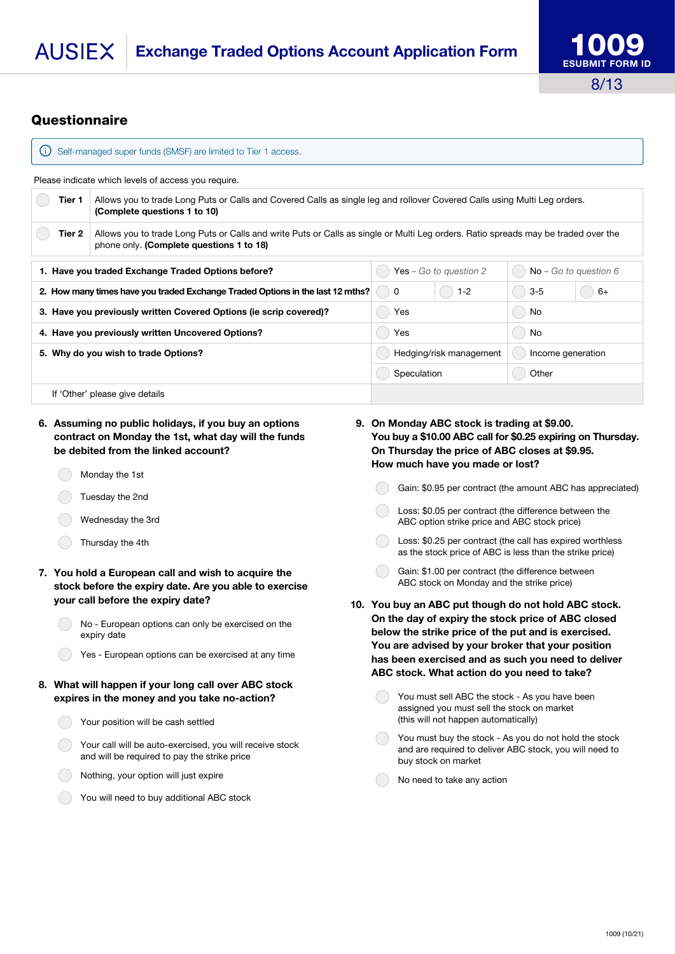#### **AUSIFX Exchange Traded Options Account Application Form**



# **Questionnaire**

| Self-managed super funds (SMSF) are limited to Tier 1 access.<br>$\left( \left  \right  \right)$ |                                                                                                                                                                                |                         |   |                          |         |                         |
|--------------------------------------------------------------------------------------------------|--------------------------------------------------------------------------------------------------------------------------------------------------------------------------------|-------------------------|---|--------------------------|---------|-------------------------|
| Please indicate which levels of access you require.                                              |                                                                                                                                                                                |                         |   |                          |         |                         |
| Tier 1                                                                                           | Allows you to trade Long Puts or Calls and Covered Calls as single leg and rollover Covered Calls using Multi Leg orders.<br>(Complete questions 1 to 10)                      |                         |   |                          |         |                         |
| Tier 2                                                                                           | Allows you to trade Long Puts or Calls and write Puts or Calls as single or Multi Leg orders. Ratio spreads may be traded over the<br>phone only. (Complete questions 1 to 18) |                         |   |                          |         |                         |
| 1. Have you traded Exchange Traded Options before?                                               |                                                                                                                                                                                |                         |   | Yes - Go to question $2$ |         | $No - Go$ to question 6 |
| 2. How many times have you traded Exchange Traded Options in the last 12 mths?                   |                                                                                                                                                                                |                         | 0 | $1 - 2$                  | $3 - 5$ | $6+$                    |
| 3. Have you previously written Covered Options (ie scrip covered)?                               |                                                                                                                                                                                | Yes                     |   | No                       |         |                         |
| 4. Have you previously written Uncovered Options?                                                |                                                                                                                                                                                | Yes                     |   | No                       |         |                         |
| 5. Why do you wish to trade Options?                                                             |                                                                                                                                                                                | Hedging/risk management |   | Income generation        |         |                         |
|                                                                                                  |                                                                                                                                                                                | Speculation             |   | Other                    |         |                         |
|                                                                                                  | If 'Other' please give details                                                                                                                                                 |                         |   |                          |         |                         |

- 6. Assuming no public holidays, if you buy an options contract on Monday the 1st, what day will the funds be debited from the linked account?
	- Monday the 1st
	- Tuesday the 2nd
	- Wednesday the 3rd
	- Thursday the 4th
- 7. You hold a European call and wish to acquire the stock before the expiry date. Are you able to exercise your call before the expiry date?
	- No European options can only be exercised on the expiry date
		- Yes European options can be exercised at any time
- 8. What will happen if your long call over ABC stock expires in the money and you take no-action?
	- Your position will be cash settled
	- Your call will be auto-exercised, you will receive stock and will be required to pay the strike price
	- Nothing, your option will just expire
	- You will need to buy additional ABC stock
- 9. On Monday ABC stock is trading at \$9.00. You buy a \$10.00 ABC call for \$0.25 expiring on Thursday. On Thursday the price of ABC closes at \$9.95. How much have you made or lost?
	- Gain: \$0.95 per contract (the amount ABC has appreciated)
		- Loss: \$0.05 per contract (the difference between the ABC option strike price and ABC stock price)
	- Loss: \$0.25 per contract (the call has expired worthless as the stock price of ABC is less than the strike price)
	- Gain: \$1.00 per contract (the difference between ABC stock on Monday and the strike price)
- 10. You buy an ABC put though do not hold ABC stock. On the day of expiry the stock price of ABC closed below the strike price of the put and is exercised. You are advised by your broker that your position has been exercised and as such you need to deliver ABC stock. What action do you need to take?
	- You must sell ABC the stock As you have been assigned you must sell the stock on market (this will not happen automatically)
	- You must buy the stock As you do not hold the stock and are required to deliver ABC stock, you will need to buy stock on market
	- No need to take any action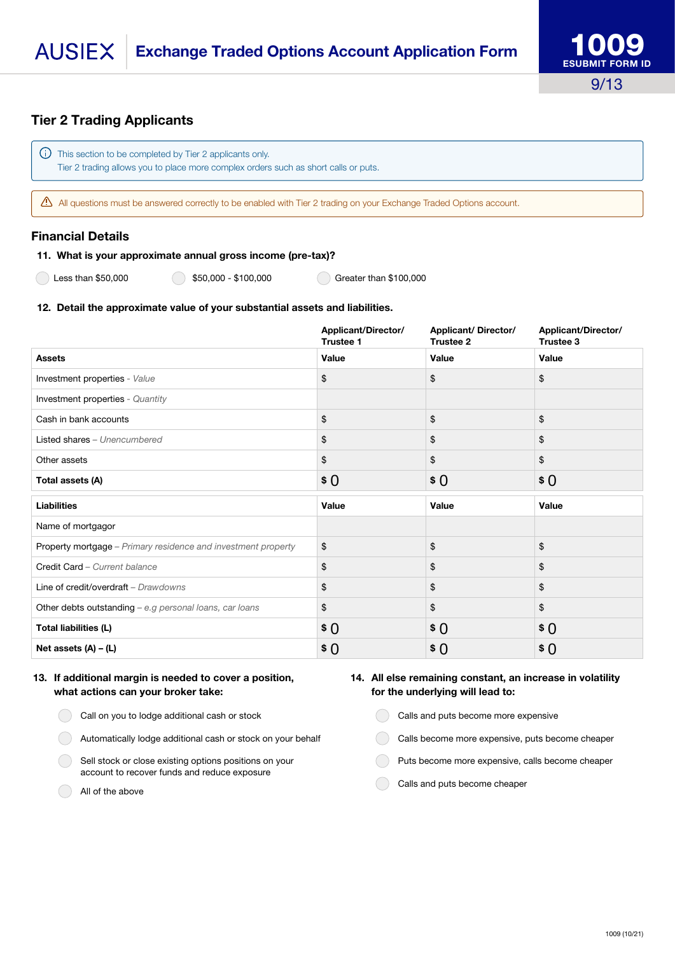#### **AUSIEX Exchange Traded Options Account Application Form**

## Tier 2 Trading Applicants

This section to be completed by Tier 2 applicants only. Tier 2 trading allows you to place more complex orders such as short calls or puts.

All questions must be answered correctly to be enabled with Tier 2 trading on your Exchange Traded Options account.

#### Financial Details

#### 11. What is your approximate annual gross income (pre-tax)?

Less than \$50,000 **650,000** - \$50,000 \$100,000 **6** Greater than \$100,000

#### 12. Detail the approximate value of your substantial assets and liabilities.

|                                                               | Applicant/Director/<br><b>Trustee 1</b> | <b>Applicant/Director/</b><br>Trustee 2 | Applicant/Director/<br>Trustee 3 |
|---------------------------------------------------------------|-----------------------------------------|-----------------------------------------|----------------------------------|
| <b>Assets</b>                                                 | Value                                   | Value                                   | Value                            |
| Investment properties - Value                                 | \$                                      | \$                                      | \$                               |
| Investment properties - Quantity                              |                                         |                                         |                                  |
| Cash in bank accounts                                         | \$                                      | \$                                      | \$                               |
| Listed shares - Unencumbered                                  | \$                                      | \$                                      | \$                               |
| Other assets                                                  | \$                                      | \$                                      | \$                               |
| Total assets (A)                                              | \$0                                     | $\pmb{\ast}$ 0                          | $\pmb{\ast}$ 0                   |
| Liabilities                                                   | Value                                   | Value                                   | Value                            |
| Name of mortgagor                                             |                                         |                                         |                                  |
| Property mortgage - Primary residence and investment property | \$                                      | \$                                      | \$                               |
| Credit Card - Current balance                                 | \$                                      | \$                                      | \$                               |
| Line of credit/overdraft - Drawdowns                          | \$                                      | \$                                      | \$                               |
| Other debts outstanding - e.g personal loans, car loans       | \$                                      | \$                                      | \$                               |
| Total liabilities (L)                                         | \$0                                     | $\pmb{\ast}$ 0                          | \$0                              |
| Net assets $(A) - (L)$                                        | \$ 0                                    | \$0                                     | \$0                              |

#### 13. If additional margin is needed to cover a position, what actions can your broker take:

- Call on you to lodge additional cash or stock
- Automatically lodge additional cash or stock on your behalf
- Sell stock or close existing options positions on your account to recover funds and reduce exposure
- All of the above

#### 14. All else remaining constant, an increase in volatility for the underlying will lead to:

- Calls and puts become more expensive
- Calls become more expensive, puts become cheaper
- Puts become more expensive, calls become cheaper
- Calls and puts become cheaper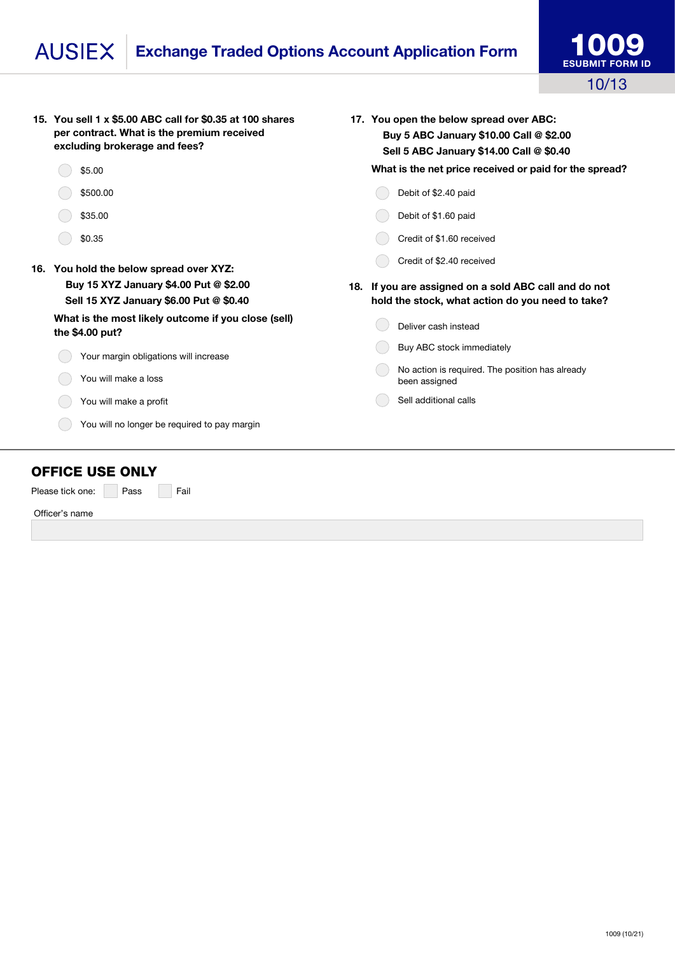## Exchange Traded Options Account Application Form **AUSIEX**

| 15. You sell 1 x \$5.00 ABC call for \$0.35 at 100 shares<br>per contract. What is the premium received<br>excluding brokerage and fees? |  | 17. You open the below spread over ABC:<br>Buy 5 ABC January \$10.00 Call @ \$2.00<br>Sell 5 ABC January \$14.00 Call @ \$0.40 |  |  |
|------------------------------------------------------------------------------------------------------------------------------------------|--|--------------------------------------------------------------------------------------------------------------------------------|--|--|
| \$5.00                                                                                                                                   |  | What is the net price received or paid for the spread?                                                                         |  |  |
| \$500.00                                                                                                                                 |  | Debit of \$2.40 paid                                                                                                           |  |  |
| \$35.00                                                                                                                                  |  | Debit of \$1.60 paid                                                                                                           |  |  |
| \$0.35                                                                                                                                   |  | Credit of \$1.60 received                                                                                                      |  |  |
| 16. You hold the below spread over XYZ:                                                                                                  |  | Credit of \$2.40 received                                                                                                      |  |  |
| Buy 15 XYZ January \$4.00 Put @ \$2.00<br>Sell 15 XYZ January \$6.00 Put @ \$0.40                                                        |  | 18. If you are assigned on a sold ABC call and do not<br>hold the stock, what action do you need to take?                      |  |  |
| What is the most likely outcome if you close (sell)<br>the \$4.00 put?                                                                   |  | Deliver cash instead                                                                                                           |  |  |
| Your margin obligations will increase                                                                                                    |  | Buy ABC stock immediately                                                                                                      |  |  |
| You will make a loss                                                                                                                     |  | No action is required. The position has already<br>been assigned                                                               |  |  |
| You will make a profit                                                                                                                   |  | Sell additional calls                                                                                                          |  |  |
| You will no longer be required to pay margin                                                                                             |  |                                                                                                                                |  |  |

## OFFICE USE ONLY

Please tick one: Pass Fail

Officer's name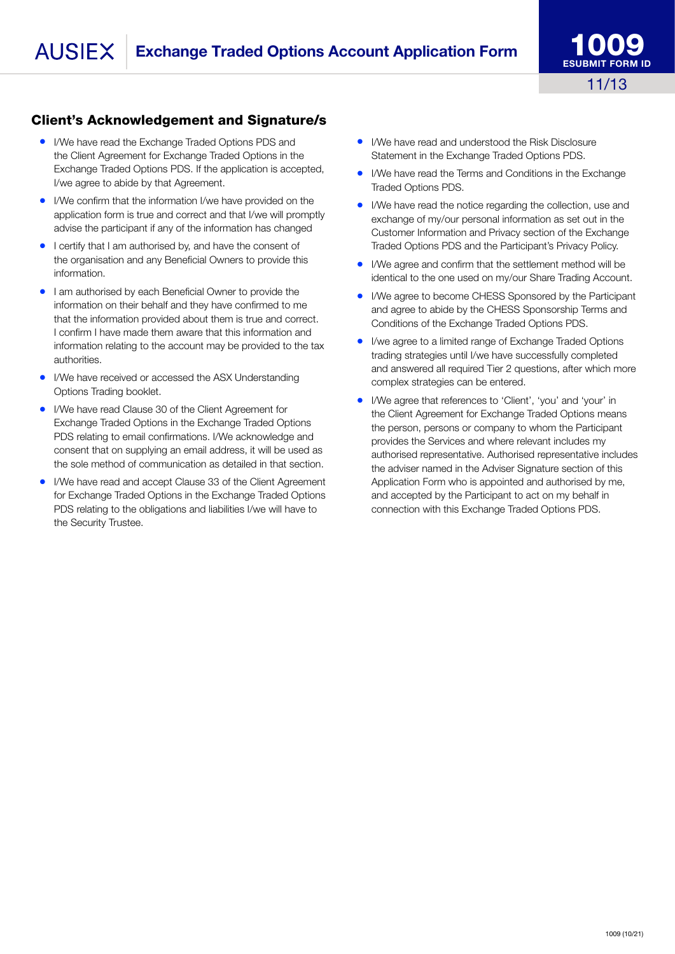# Client's Acknowledgement and Signature/s

- I/We have read the Exchange Traded Options PDS and the Client Agreement for Exchange Traded Options in the Exchange Traded Options PDS. If the application is accepted, I/we agree to abide by that Agreement.
- I/We confirm that the information I/we have provided on the application form is true and correct and that I/we will promptly advise the participant if any of the information has changed
- I certify that I am authorised by, and have the consent of the organisation and any Beneficial Owners to provide this information.
- I am authorised by each Beneficial Owner to provide the information on their behalf and they have confirmed to me that the information provided about them is true and correct. I confirm I have made them aware that this information and information relating to the account may be provided to the tax authorities.
- I/We have received or accessed the ASX Understanding Options Trading booklet.
- I/We have read Clause 30 of the Client Agreement for Exchange Traded Options in the Exchange Traded Options PDS relating to email confirmations. I/We acknowledge and consent that on supplying an email address, it will be used as the sole method of communication as detailed in that section.
- I/We have read and accept Clause 33 of the Client Agreement for Exchange Traded Options in the Exchange Traded Options PDS relating to the obligations and liabilities I/we will have to the Security Trustee.
- I/We have read and understood the Risk Disclosure Statement in the Exchange Traded Options PDS.
- I/We have read the Terms and Conditions in the Exchange Traded Options PDS.
- I/We have read the notice regarding the collection, use and exchange of my/our personal information as set out in the Customer Information and Privacy section of the Exchange Traded Options PDS and the Participant's Privacy Policy.
- I/We agree and confirm that the settlement method will be identical to the one used on my/our Share Trading Account.
- I/We agree to become CHESS Sponsored by the Participant and agree to abide by the CHESS Sponsorship Terms and Conditions of the Exchange Traded Options PDS.
- I/we agree to a limited range of Exchange Traded Options trading strategies until I/we have successfully completed and answered all required Tier 2 questions, after which more complex strategies can be entered.
- I/We agree that references to 'Client', 'you' and 'your' in the Client Agreement for Exchange Traded Options means the person, persons or company to whom the Participant provides the Services and where relevant includes my authorised representative. Authorised representative includes the adviser named in the Adviser Signature section of this Application Form who is appointed and authorised by me, and accepted by the Participant to act on my behalf in connection with this Exchange Traded Options PDS.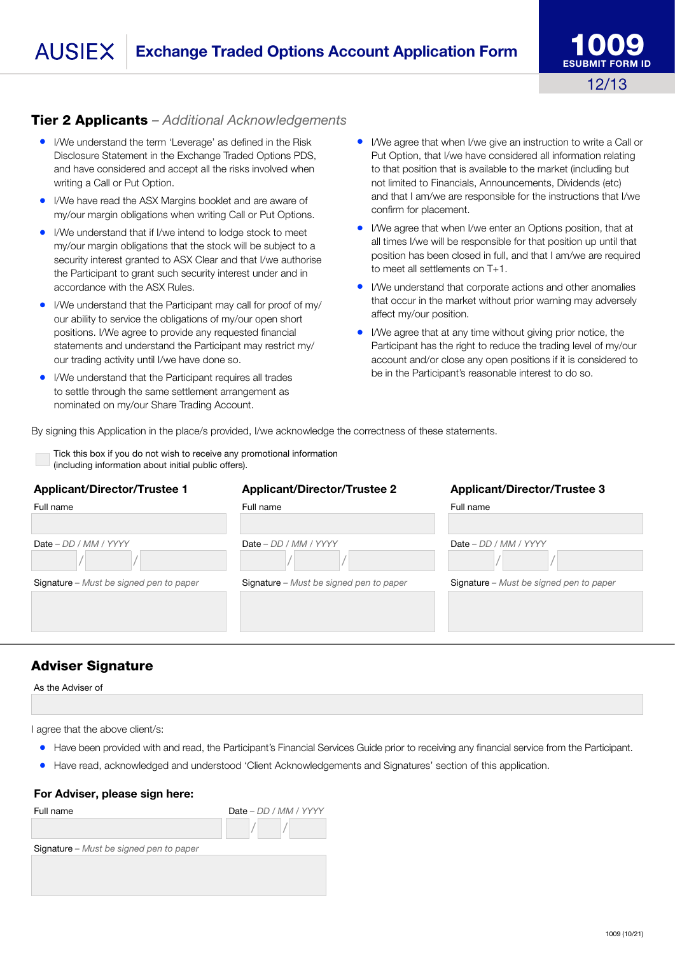# Tier 2 Applicants *– Additional Acknowledgements*

- I/We understand the term 'Leverage' as defined in the Risk Disclosure Statement in the Exchange Traded Options PDS, and have considered and accept all the risks involved when writing a Call or Put Option.
- I/We have read the ASX Margins booklet and are aware of my/our margin obligations when writing Call or Put Options.
- I/We understand that if I/we intend to lodge stock to meet my/our margin obligations that the stock will be subject to a security interest granted to ASX Clear and that I/we authorise the Participant to grant such security interest under and in accordance with the ASX Rules.
- I/We understand that the Participant may call for proof of my/ our ability to service the obligations of my/our open short positions. I/We agree to provide any requested financial statements and understand the Participant may restrict my/ our trading activity until I/we have done so.
- I/We understand that the Participant requires all trades to settle through the same settlement arrangement as nominated on my/our Share Trading Account.
- I/We agree that when I/we give an instruction to write a Call or Put Option, that I/we have considered all information relating to that position that is available to the market (including but not limited to Financials, Announcements, Dividends (etc) and that I am/we are responsible for the instructions that I/we confirm for placement.
- I/We agree that when I/we enter an Options position, that at all times I/we will be responsible for that position up until that position has been closed in full, and that I am/we are required to meet all settlements on T+1.
- I/We understand that corporate actions and other anomalies that occur in the market without prior warning may adversely affect my/our position.
- I/We agree that at any time without giving prior notice, the Participant has the right to reduce the trading level of my/our account and/or close any open positions if it is considered to be in the Participant's reasonable interest to do so.

By signing this Application in the place/s provided, I/we acknowledge the correctness of these statements.

Tick this box if you do not wish to receive any promotional information (including information about initial public offers).

#### Applicant/Director/Trustee 1 Applicant/Director/Trustee 2 Applicant/Director/Trustee 3

| Full name                               | Full name                               | Full name                               |
|-----------------------------------------|-----------------------------------------|-----------------------------------------|
| $Date - DD / MM / YYYY$                 | $Date - DD / MM / YYYY$                 | Date $-DD/MM/YYYY$                      |
| Signature - Must be signed pen to paper | Signature - Must be signed pen to paper | Signature – Must be signed pen to paper |

## Adviser Signature

As the Adviser of

I agree that the above client/s:

- Have been provided with and read, the Participant's Financial Services Guide prior to receiving any financial service from the Participant.
- Have read, acknowledged and understood 'Client Acknowledgements and Signatures' section of this application.

#### For Adviser, please sign here:

| Full name                               | Date - DD / MM / YYYY |
|-----------------------------------------|-----------------------|
|                                         |                       |
| Signature - Must be signed pen to paper |                       |
|                                         |                       |
|                                         |                       |
|                                         |                       |